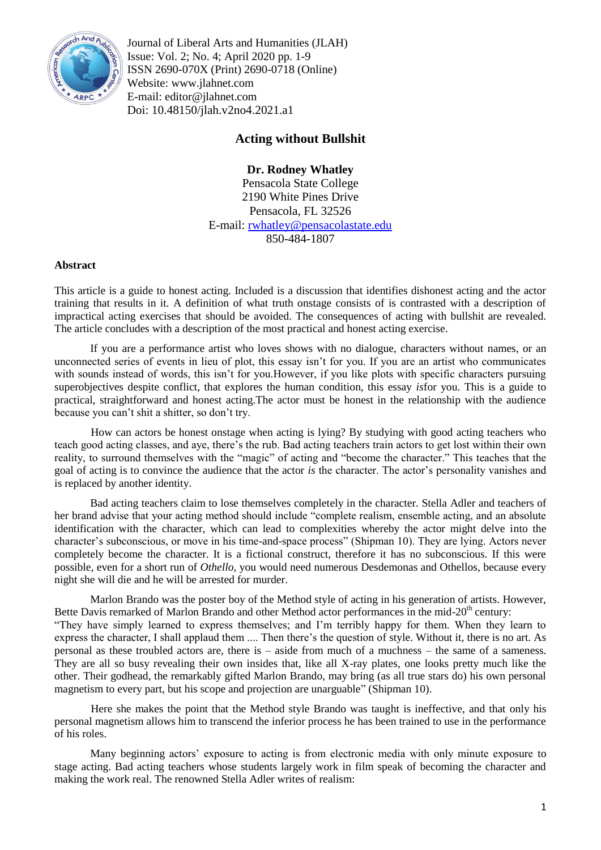

Journal of Liberal Arts and Humanities (JLAH) Issue: Vol. 2; No. 4; April 2020 pp. 1-9 ISSN 2690-070X (Print) 2690-0718 (Online) Website: www.jlahnet.com E-mail: editor@jlahnet.com Doi: 10.48150/jlah.v2no4.2021.a1

# **Acting without Bullshit**

# **Dr. Rodney Whatley**

Pensacola State College 2190 White Pines Drive Pensacola, FL 32526 E-mail: [rwhatley@pensacolastate.edu](mailto:rwhatley@pensacolastate.edu) 850-484-1807

#### **Abstract**

This article is a guide to honest acting. Included is a discussion that identifies dishonest acting and the actor training that results in it. A definition of what truth onstage consists of is contrasted with a description of impractical acting exercises that should be avoided. The consequences of acting with bullshit are revealed. The article concludes with a description of the most practical and honest acting exercise.

If you are a performance artist who loves shows with no dialogue, characters without names, or an unconnected series of events in lieu of plot, this essay isn't for you. If you are an artist who communicates with sounds instead of words, this isn't for you.However, if you like plots with specific characters pursuing superobjectives despite conflict, that explores the human condition, this essay *is*for you. This is a guide to practical, straightforward and honest acting.The actor must be honest in the relationship with the audience because you can"t shit a shitter, so don"t try.

How can actors be honest onstage when acting is lying? By studying with good acting teachers who teach good acting classes, and aye, there"s the rub. Bad acting teachers train actors to get lost within their own reality, to surround themselves with the "magic" of acting and "become the character." This teaches that the goal of acting is to convince the audience that the actor *is* the character. The actor's personality vanishes and is replaced by another identity.

Bad acting teachers claim to lose themselves completely in the character. Stella Adler and teachers of her brand advise that your acting method should include "complete realism, ensemble acting, and an absolute identification with the character, which can lead to complexities whereby the actor might delve into the character"s subconscious, or move in his time-and-space process" (Shipman 10). They are lying. Actors never completely become the character. It is a fictional construct, therefore it has no subconscious. If this were possible, even for a short run of *Othello,* you would need numerous Desdemonas and Othellos, because every night she will die and he will be arrested for murder.

Marlon Brando was the poster boy of the Method style of acting in his generation of artists. However, Bette Davis remarked of Marlon Brando and other Method actor performances in the mid-20<sup>th</sup> century: "They have simply learned to express themselves; and I"m terribly happy for them. When they learn to express the character, I shall applaud them .... Then there"s the question of style. Without it, there is no art. As personal as these troubled actors are, there is – aside from much of a muchness – the same of a sameness. They are all so busy revealing their own insides that, like all X-ray plates, one looks pretty much like the other. Their godhead, the remarkably gifted Marlon Brando, may bring (as all true stars do) his own personal magnetism to every part, but his scope and projection are unarguable" (Shipman 10).

Here she makes the point that the Method style Brando was taught is ineffective, and that only his personal magnetism allows him to transcend the inferior process he has been trained to use in the performance of his roles.

Many beginning actors" exposure to acting is from electronic media with only minute exposure to stage acting. Bad acting teachers whose students largely work in film speak of becoming the character and making the work real. The renowned Stella Adler writes of realism: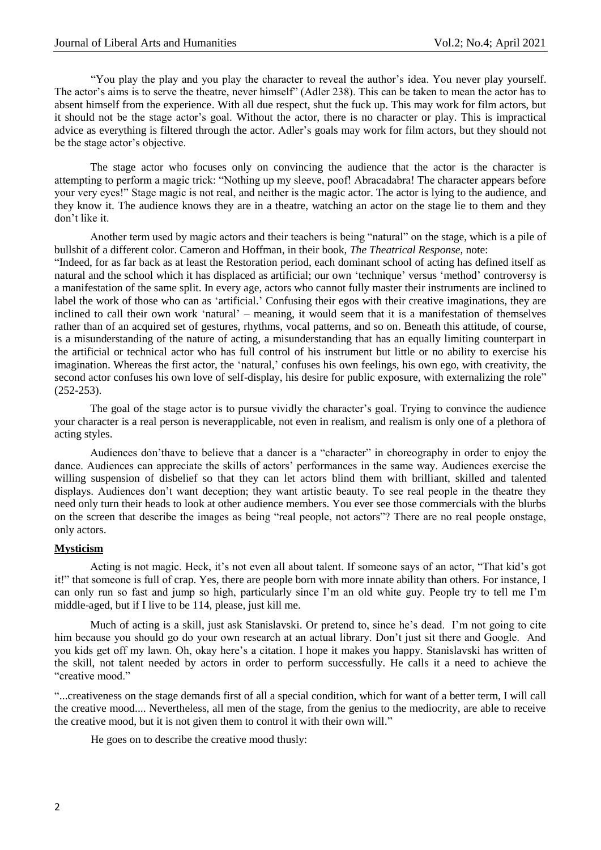"You play the play and you play the character to reveal the author"s idea. You never play yourself. The actor's aims is to serve the theatre, never himself" (Adler 238). This can be taken to mean the actor has to absent himself from the experience. With all due respect, shut the fuck up. This may work for film actors, but it should not be the stage actor"s goal. Without the actor, there is no character or play. This is impractical advice as everything is filtered through the actor. Adler"s goals may work for film actors, but they should not be the stage actor's objective.

The stage actor who focuses only on convincing the audience that the actor is the character is attempting to perform a magic trick: "Nothing up my sleeve, poof! Abracadabra! The character appears before your very eyes!" Stage magic is not real, and neither is the magic actor. The actor is lying to the audience, and they know it. The audience knows they are in a theatre, watching an actor on the stage lie to them and they don"t like it.

Another term used by magic actors and their teachers is being "natural" on the stage, which is a pile of bullshit of a different color. Cameron and Hoffman, in their book, *The Theatrical Response,* note:

"Indeed, for as far back as at least the Restoration period, each dominant school of acting has defined itself as natural and the school which it has displaced as artificial; our own "technique" versus "method" controversy is a manifestation of the same split. In every age, actors who cannot fully master their instruments are inclined to label the work of those who can as 'artificial.' Confusing their egos with their creative imaginations, they are inclined to call their own work "natural" – meaning, it would seem that it is a manifestation of themselves rather than of an acquired set of gestures, rhythms, vocal patterns, and so on. Beneath this attitude, of course, is a misunderstanding of the nature of acting, a misunderstanding that has an equally limiting counterpart in the artificial or technical actor who has full control of his instrument but little or no ability to exercise his imagination. Whereas the first actor, the 'natural,' confuses his own feelings, his own ego, with creativity, the second actor confuses his own love of self-display, his desire for public exposure, with externalizing the role" (252-253).

The goal of the stage actor is to pursue vividly the character's goal. Trying to convince the audience your character is a real person is neverapplicable, not even in realism, and realism is only one of a plethora of acting styles.

Audiences don"thave to believe that a dancer is a "character" in choreography in order to enjoy the dance. Audiences can appreciate the skills of actors' performances in the same way. Audiences exercise the willing suspension of disbelief so that they can let actors blind them with brilliant, skilled and talented displays. Audiences don't want deception; they want artistic beauty. To see real people in the theatre they need only turn their heads to look at other audience members. You ever see those commercials with the blurbs on the screen that describe the images as being "real people, not actors"? There are no real people onstage, only actors.

# **Mysticism**

Acting is not magic. Heck, it's not even all about talent. If someone says of an actor, "That kid's got it!" that someone is full of crap. Yes, there are people born with more innate ability than others. For instance, I can only run so fast and jump so high, particularly since I"m an old white guy. People try to tell me I"m middle-aged, but if I live to be 114, please, just kill me.

Much of acting is a skill, just ask Stanislavski. Or pretend to, since he"s dead. I"m not going to cite him because you should go do your own research at an actual library. Don't just sit there and Google. And you kids get off my lawn. Oh, okay here"s a citation. I hope it makes you happy. Stanislavski has written of the skill, not talent needed by actors in order to perform successfully. He calls it a need to achieve the "creative mood."

"...creativeness on the stage demands first of all a special condition, which for want of a better term, I will call the creative mood.... Nevertheless, all men of the stage, from the genius to the mediocrity, are able to receive the creative mood, but it is not given them to control it with their own will."

He goes on to describe the creative mood thusly: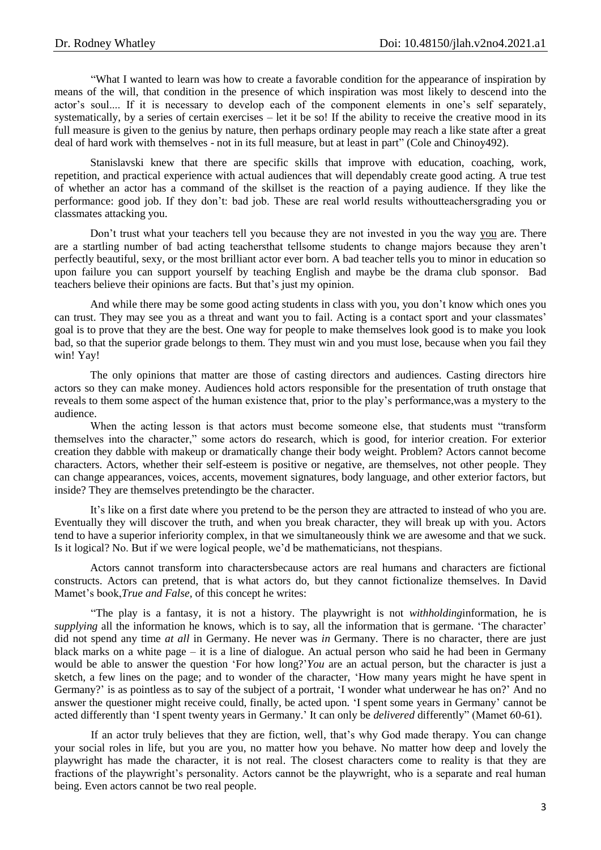"What I wanted to learn was how to create a favorable condition for the appearance of inspiration by means of the will, that condition in the presence of which inspiration was most likely to descend into the actor's soul.... If it is necessary to develop each of the component elements in one's self separately, systematically, by a series of certain exercises – let it be so! If the ability to receive the creative mood in its full measure is given to the genius by nature, then perhaps ordinary people may reach a like state after a great deal of hard work with themselves - not in its full measure, but at least in part" (Cole and Chinoy492).

Stanislavski knew that there are specific skills that improve with education, coaching, work, repetition, and practical experience with actual audiences that will dependably create good acting. A true test of whether an actor has a command of the skillset is the reaction of a paying audience. If they like the performance: good job. If they don"t: bad job. These are real world results withoutteachersgrading you or classmates attacking you.

Don"t trust what your teachers tell you because they are not invested in you the way you are. There are a startling number of bad acting teachersthat tellsome students to change majors because they aren"t perfectly beautiful, sexy, or the most brilliant actor ever born. A bad teacher tells you to minor in education so upon failure you can support yourself by teaching English and maybe be the drama club sponsor. Bad teachers believe their opinions are facts. But that"s just my opinion.

And while there may be some good acting students in class with you, you don"t know which ones you can trust. They may see you as a threat and want you to fail. Acting is a contact sport and your classmates" goal is to prove that they are the best. One way for people to make themselves look good is to make you look bad, so that the superior grade belongs to them. They must win and you must lose, because when you fail they win! Yay!

The only opinions that matter are those of casting directors and audiences. Casting directors hire actors so they can make money. Audiences hold actors responsible for the presentation of truth onstage that reveals to them some aspect of the human existence that, prior to the play"s performance,was a mystery to the audience.

When the acting lesson is that actors must become someone else, that students must "transform themselves into the character," some actors do research, which is good, for interior creation. For exterior creation they dabble with makeup or dramatically change their body weight. Problem? Actors cannot become characters. Actors, whether their self-esteem is positive or negative, are themselves, not other people. They can change appearances, voices, accents, movement signatures, body language, and other exterior factors, but inside? They are themselves pretendingto be the character.

It"s like on a first date where you pretend to be the person they are attracted to instead of who you are. Eventually they will discover the truth, and when you break character, they will break up with you. Actors tend to have a superior inferiority complex, in that we simultaneously think we are awesome and that we suck. Is it logical? No. But if we were logical people, we"d be mathematicians, not thespians.

Actors cannot transform into charactersbecause actors are real humans and characters are fictional constructs. Actors can pretend, that is what actors do, but they cannot fictionalize themselves. In David Mamet"s book,*True and False,* of this concept he writes:

"The play is a fantasy, it is not a history. The playwright is not *withholding*information, he is *supplying* all the information he knows, which is to say, all the information that is germane. 'The character' did not spend any time *at all* in Germany. He never was *in* Germany. There is no character, there are just black marks on a white page – it is a line of dialogue. An actual person who said he had been in Germany would be able to answer the question "For how long?"*You* are an actual person, but the character is just a sketch, a few lines on the page; and to wonder of the character, "How many years might he have spent in Germany?" is as pointless as to say of the subject of a portrait, "I wonder what underwear he has on?" And no answer the questioner might receive could, finally, be acted upon. "I spent some years in Germany" cannot be acted differently than "I spent twenty years in Germany." It can only be *delivered* differently" (Mamet 60-61).

If an actor truly believes that they are fiction, well, that"s why God made therapy. You can change your social roles in life, but you are you, no matter how you behave. No matter how deep and lovely the playwright has made the character, it is not real. The closest characters come to reality is that they are fractions of the playwright"s personality. Actors cannot be the playwright, who is a separate and real human being. Even actors cannot be two real people.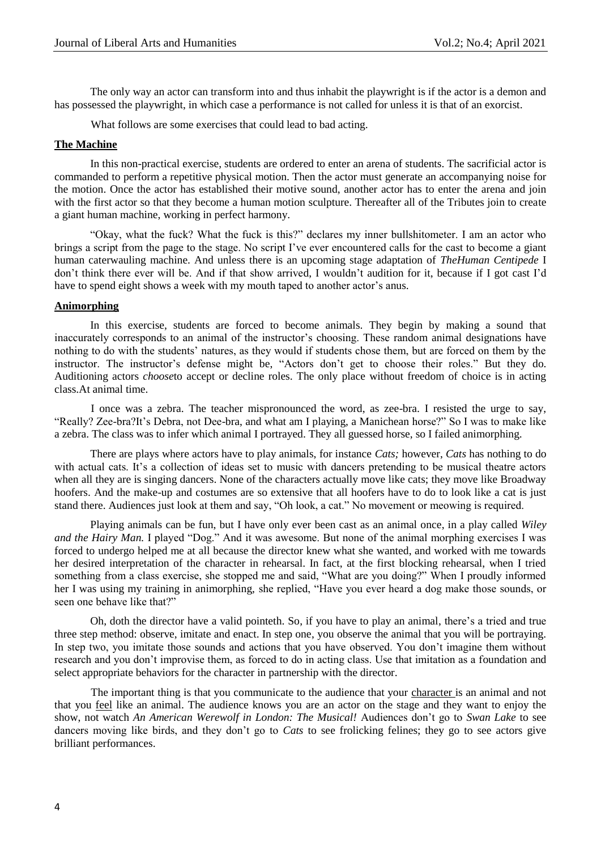The only way an actor can transform into and thus inhabit the playwright is if the actor is a demon and has possessed the playwright, in which case a performance is not called for unless it is that of an exorcist.

What follows are some exercises that could lead to bad acting.

#### **The Machine**

In this non-practical exercise, students are ordered to enter an arena of students. The sacrificial actor is commanded to perform a repetitive physical motion. Then the actor must generate an accompanying noise for the motion. Once the actor has established their motive sound, another actor has to enter the arena and join with the first actor so that they become a human motion sculpture. Thereafter all of the Tributes join to create a giant human machine, working in perfect harmony.

"Okay, what the fuck? What the fuck is this?" declares my inner bullshitometer. I am an actor who brings a script from the page to the stage. No script I've ever encountered calls for the cast to become a giant human caterwauling machine. And unless there is an upcoming stage adaptation of *TheHuman Centipede* I don"t think there ever will be. And if that show arrived, I wouldn"t audition for it, because if I got cast I"d have to spend eight shows a week with my mouth taped to another actor's anus.

#### **Animorphing**

In this exercise, students are forced to become animals. They begin by making a sound that inaccurately corresponds to an animal of the instructor"s choosing. These random animal designations have nothing to do with the students' natures, as they would if students chose them, but are forced on them by the instructor. The instructor's defense might be, "Actors don't get to choose their roles." But they do. Auditioning actors *choose*to accept or decline roles. The only place without freedom of choice is in acting class.At animal time.

I once was a zebra. The teacher mispronounced the word, as zee-bra. I resisted the urge to say, "Really? Zee-bra?It"s Debra, not Dee-bra, and what am I playing, a Manichean horse?" So I was to make like a zebra. The class was to infer which animal I portrayed. They all guessed horse, so I failed animorphing.

There are plays where actors have to play animals, for instance *Cats;* however, *Cats* has nothing to do with actual cats. It's a collection of ideas set to music with dancers pretending to be musical theatre actors when all they are is singing dancers. None of the characters actually move like cats; they move like Broadway hoofers. And the make-up and costumes are so extensive that all hoofers have to do to look like a cat is just stand there. Audiences just look at them and say, "Oh look, a cat." No movement or meowing is required.

Playing animals can be fun, but I have only ever been cast as an animal once, in a play called *Wiley and the Hairy Man.* I played "Dog." And it was awesome. But none of the animal morphing exercises I was forced to undergo helped me at all because the director knew what she wanted, and worked with me towards her desired interpretation of the character in rehearsal. In fact, at the first blocking rehearsal, when I tried something from a class exercise, she stopped me and said, "What are you doing?" When I proudly informed her I was using my training in animorphing, she replied, "Have you ever heard a dog make those sounds, or seen one behave like that?"

Oh, doth the director have a valid pointeth. So, if you have to play an animal, there"s a tried and true three step method: observe, imitate and enact. In step one, you observe the animal that you will be portraying. In step two, you imitate those sounds and actions that you have observed. You don't imagine them without research and you don"t improvise them, as forced to do in acting class. Use that imitation as a foundation and select appropriate behaviors for the character in partnership with the director.

The important thing is that you communicate to the audience that your character is an animal and not that you feel like an animal. The audience knows you are an actor on the stage and they want to enjoy the show, not watch *An American Werewolf in London: The Musical!* Audiences don"t go to *Swan Lake* to see dancers moving like birds, and they don"t go to *Cats* to see frolicking felines; they go to see actors give brilliant performances.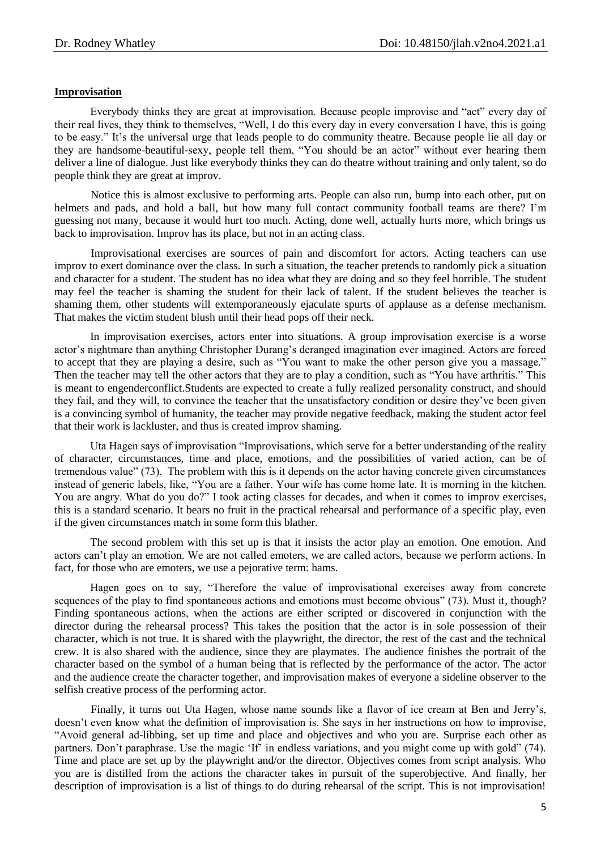### **Improvisation**

Everybody thinks they are great at improvisation. Because people improvise and "act" every day of their real lives, they think to themselves, "Well, I do this every day in every conversation I have, this is going to be easy." It's the universal urge that leads people to do community theatre. Because people lie all day or they are handsome-beautiful-sexy, people tell them, "You should be an actor" without ever hearing them deliver a line of dialogue. Just like everybody thinks they can do theatre without training and only talent, so do people think they are great at improv.

Notice this is almost exclusive to performing arts. People can also run, bump into each other, put on helmets and pads, and hold a ball, but how many full contact community football teams are there? I'm guessing not many, because it would hurt too much. Acting, done well, actually hurts more, which brings us back to improvisation. Improv has its place, but not in an acting class.

Improvisational exercises are sources of pain and discomfort for actors. Acting teachers can use improv to exert dominance over the class. In such a situation, the teacher pretends to randomly pick a situation and character for a student. The student has no idea what they are doing and so they feel horrible. The student may feel the teacher is shaming the student for their lack of talent. If the student believes the teacher is shaming them, other students will extemporaneously ejaculate spurts of applause as a defense mechanism. That makes the victim student blush until their head pops off their neck.

In improvisation exercises, actors enter into situations. A group improvisation exercise is a worse actor"s nightmare than anything Christopher Durang"s deranged imagination ever imagined. Actors are forced to accept that they are playing a desire, such as "You want to make the other person give you a massage." Then the teacher may tell the other actors that they are to play a condition, such as "You have arthritis." This is meant to engenderconflict.Students are expected to create a fully realized personality construct, and should they fail, and they will, to convince the teacher that the unsatisfactory condition or desire they"ve been given is a convincing symbol of humanity, the teacher may provide negative feedback, making the student actor feel that their work is lackluster, and thus is created improv shaming.

Uta Hagen says of improvisation "Improvisations, which serve for a better understanding of the reality of character, circumstances, time and place, emotions, and the possibilities of varied action, can be of tremendous value" (73). The problem with this is it depends on the actor having concrete given circumstances instead of generic labels, like, "You are a father. Your wife has come home late. It is morning in the kitchen. You are angry. What do you do?" I took acting classes for decades, and when it comes to improv exercises, this is a standard scenario. It bears no fruit in the practical rehearsal and performance of a specific play, even if the given circumstances match in some form this blather.

The second problem with this set up is that it insists the actor play an emotion. One emotion. And actors can"t play an emotion. We are not called emoters, we are called actors, because we perform actions. In fact, for those who are emoters, we use a pejorative term: hams.

Hagen goes on to say, "Therefore the value of improvisational exercises away from concrete sequences of the play to find spontaneous actions and emotions must become obvious" (73). Must it, though? Finding spontaneous actions, when the actions are either scripted or discovered in conjunction with the director during the rehearsal process? This takes the position that the actor is in sole possession of their character, which is not true. It is shared with the playwright, the director, the rest of the cast and the technical crew. It is also shared with the audience, since they are playmates. The audience finishes the portrait of the character based on the symbol of a human being that is reflected by the performance of the actor. The actor and the audience create the character together, and improvisation makes of everyone a sideline observer to the selfish creative process of the performing actor.

Finally, it turns out Uta Hagen, whose name sounds like a flavor of ice cream at Ben and Jerry"s, doesn"t even know what the definition of improvisation is. She says in her instructions on how to improvise, "Avoid general ad-libbing, set up time and place and objectives and who you are. Surprise each other as partners. Don't paraphrase. Use the magic 'If' in endless variations, and you might come up with gold" (74). Time and place are set up by the playwright and/or the director. Objectives comes from script analysis. Who you are is distilled from the actions the character takes in pursuit of the superobjective. And finally, her description of improvisation is a list of things to do during rehearsal of the script. This is not improvisation!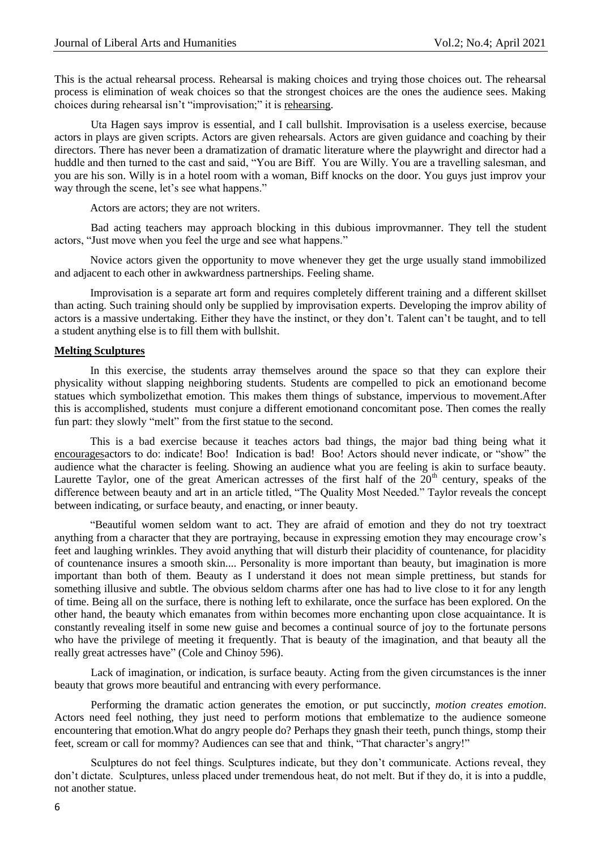This is the actual rehearsal process. Rehearsal is making choices and trying those choices out. The rehearsal process is elimination of weak choices so that the strongest choices are the ones the audience sees. Making choices during rehearsal isn"t "improvisation;" it is rehearsing.

Uta Hagen says improv is essential, and I call bullshit. Improvisation is a useless exercise, because actors in plays are given scripts. Actors are given rehearsals. Actors are given guidance and coaching by their directors. There has never been a dramatization of dramatic literature where the playwright and director had a huddle and then turned to the cast and said, "You are Biff. You are Willy. You are a travelling salesman, and you are his son. Willy is in a hotel room with a woman, Biff knocks on the door. You guys just improv your way through the scene, let's see what happens."

Actors are actors; they are not writers.

Bad acting teachers may approach blocking in this dubious improvmanner. They tell the student actors, "Just move when you feel the urge and see what happens."

Novice actors given the opportunity to move whenever they get the urge usually stand immobilized and adjacent to each other in awkwardness partnerships. Feeling shame.

Improvisation is a separate art form and requires completely different training and a different skillset than acting. Such training should only be supplied by improvisation experts. Developing the improv ability of actors is a massive undertaking. Either they have the instinct, or they don"t. Talent can"t be taught, and to tell a student anything else is to fill them with bullshit.

#### **Melting Sculptures**

In this exercise, the students array themselves around the space so that they can explore their physicality without slapping neighboring students. Students are compelled to pick an emotionand become statues which symbolizethat emotion. This makes them things of substance, impervious to movement.After this is accomplished, students must conjure a different emotionand concomitant pose. Then comes the really fun part: they slowly "melt" from the first statue to the second.

This is a bad exercise because it teaches actors bad things, the major bad thing being what it encouragesactors to do: indicate! Boo! Indication is bad! Boo! Actors should never indicate, or "show" the audience what the character is feeling. Showing an audience what you are feeling is akin to surface beauty. Laurette Taylor, one of the great American actresses of the first half of the  $20<sup>th</sup>$  century, speaks of the difference between beauty and art in an article titled, "The Quality Most Needed." Taylor reveals the concept between indicating, or surface beauty, and enacting, or inner beauty.

"Beautiful women seldom want to act. They are afraid of emotion and they do not try toextract anything from a character that they are portraying, because in expressing emotion they may encourage crow"s feet and laughing wrinkles. They avoid anything that will disturb their placidity of countenance, for placidity of countenance insures a smooth skin.... Personality is more important than beauty, but imagination is more important than both of them. Beauty as I understand it does not mean simple prettiness, but stands for something illusive and subtle. The obvious seldom charms after one has had to live close to it for any length of time. Being all on the surface, there is nothing left to exhilarate, once the surface has been explored. On the other hand, the beauty which emanates from within becomes more enchanting upon close acquaintance. It is constantly revealing itself in some new guise and becomes a continual source of joy to the fortunate persons who have the privilege of meeting it frequently. That is beauty of the imagination, and that beauty all the really great actresses have" (Cole and Chinoy 596).

Lack of imagination, or indication, is surface beauty. Acting from the given circumstances is the inner beauty that grows more beautiful and entrancing with every performance.

Performing the dramatic action generates the emotion, or put succinctly, *motion creates emotion*. Actors need feel nothing, they just need to perform motions that emblematize to the audience someone encountering that emotion.What do angry people do? Perhaps they gnash their teeth, punch things, stomp their feet, scream or call for mommy? Audiences can see that and think, "That character's angry!"

Sculptures do not feel things. Sculptures indicate, but they don"t communicate. Actions reveal, they don"t dictate. Sculptures, unless placed under tremendous heat, do not melt. But if they do, it is into a puddle, not another statue.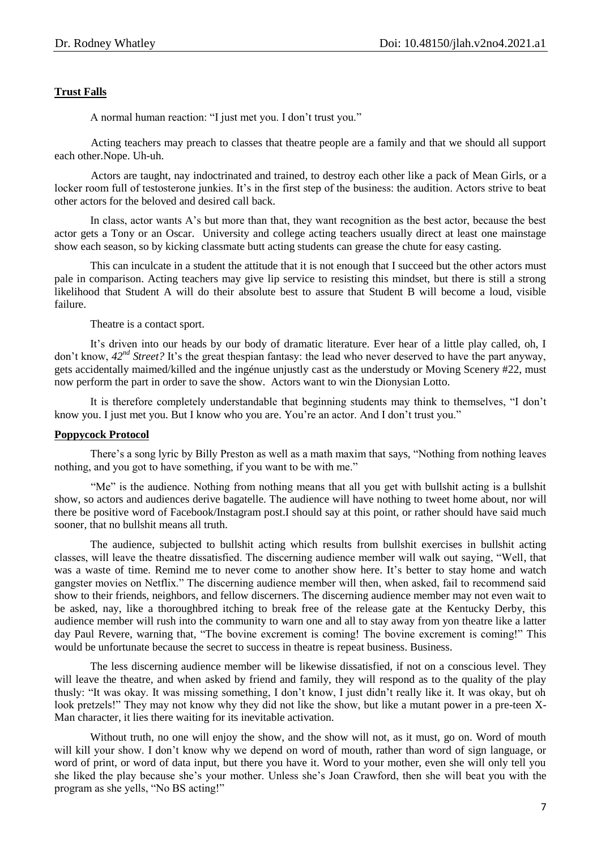# **Trust Falls**

A normal human reaction: "I just met you. I don"t trust you."

Acting teachers may preach to classes that theatre people are a family and that we should all support each other.Nope. Uh-uh.

Actors are taught, nay indoctrinated and trained, to destroy each other like a pack of Mean Girls, or a locker room full of testosterone junkies. It's in the first step of the business: the audition. Actors strive to beat other actors for the beloved and desired call back.

In class, actor wants A"s but more than that, they want recognition as the best actor, because the best actor gets a Tony or an Oscar. University and college acting teachers usually direct at least one mainstage show each season, so by kicking classmate butt acting students can grease the chute for easy casting.

This can inculcate in a student the attitude that it is not enough that I succeed but the other actors must pale in comparison. Acting teachers may give lip service to resisting this mindset, but there is still a strong likelihood that Student A will do their absolute best to assure that Student B will become a loud, visible failure.

Theatre is a contact sport.

It's driven into our heads by our body of dramatic literature. Ever hear of a little play called, oh, I don't know,  $42^{nd}$  *Street?* It's the great thespian fantasy: the lead who never deserved to have the part anyway, gets accidentally maimed/killed and the ingénue unjustly cast as the understudy or Moving Scenery #22, must now perform the part in order to save the show. Actors want to win the Dionysian Lotto.

It is therefore completely understandable that beginning students may think to themselves, "I don"t know you. I just met you. But I know who you are. You're an actor. And I don't trust you."

### **Poppycock Protocol**

There's a song lyric by Billy Preston as well as a math maxim that says, "Nothing from nothing leaves nothing, and you got to have something, if you want to be with me."

"Me" is the audience. Nothing from nothing means that all you get with bullshit acting is a bullshit show, so actors and audiences derive bagatelle. The audience will have nothing to tweet home about, nor will there be positive word of Facebook/Instagram post.I should say at this point, or rather should have said much sooner, that no bullshit means all truth.

The audience, subjected to bullshit acting which results from bullshit exercises in bullshit acting classes, will leave the theatre dissatisfied. The discerning audience member will walk out saying, "Well, that was a waste of time. Remind me to never come to another show here. It's better to stay home and watch gangster movies on Netflix." The discerning audience member will then, when asked, fail to recommend said show to their friends, neighbors, and fellow discerners. The discerning audience member may not even wait to be asked, nay, like a thoroughbred itching to break free of the release gate at the Kentucky Derby, this audience member will rush into the community to warn one and all to stay away from yon theatre like a latter day Paul Revere, warning that, "The bovine excrement is coming! The bovine excrement is coming!" This would be unfortunate because the secret to success in theatre is repeat business. Business.

The less discerning audience member will be likewise dissatisfied, if not on a conscious level. They will leave the theatre, and when asked by friend and family, they will respond as to the quality of the play thusly: "It was okay. It was missing something, I don"t know, I just didn"t really like it. It was okay, but oh look pretzels!" They may not know why they did not like the show, but like a mutant power in a pre-teen X-Man character, it lies there waiting for its inevitable activation.

Without truth, no one will enjoy the show, and the show will not, as it must, go on. Word of mouth will kill your show. I don't know why we depend on word of mouth, rather than word of sign language, or word of print, or word of data input, but there you have it. Word to your mother, even she will only tell you she liked the play because she"s your mother. Unless she"s Joan Crawford, then she will beat you with the program as she yells, "No BS acting!"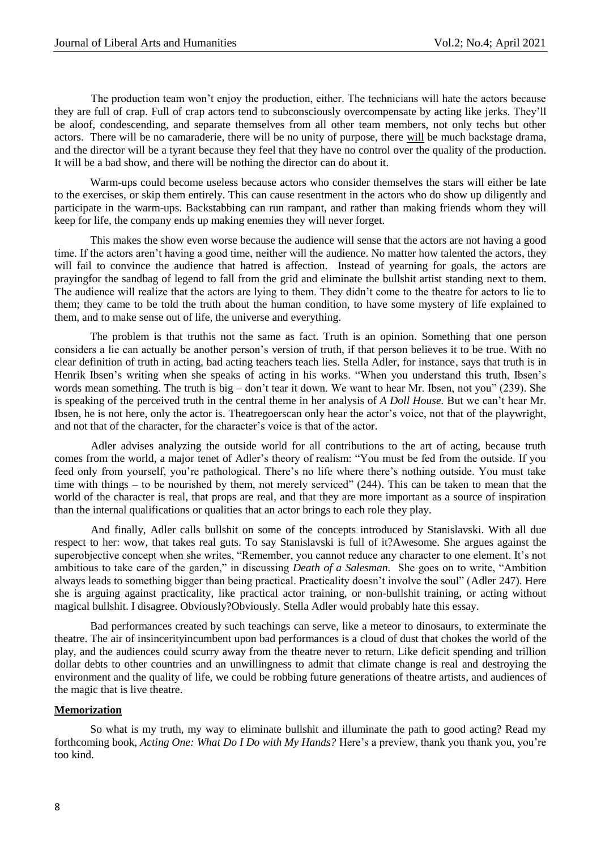The production team won"t enjoy the production, either. The technicians will hate the actors because they are full of crap. Full of crap actors tend to subconsciously overcompensate by acting like jerks. They"ll be aloof, condescending, and separate themselves from all other team members, not only techs but other actors. There will be no camaraderie, there will be no unity of purpose, there will be much backstage drama, and the director will be a tyrant because they feel that they have no control over the quality of the production. It will be a bad show, and there will be nothing the director can do about it.

Warm-ups could become useless because actors who consider themselves the stars will either be late to the exercises, or skip them entirely. This can cause resentment in the actors who do show up diligently and participate in the warm-ups. Backstabbing can run rampant, and rather than making friends whom they will keep for life, the company ends up making enemies they will never forget.

This makes the show even worse because the audience will sense that the actors are not having a good time. If the actors aren"t having a good time, neither will the audience. No matter how talented the actors, they will fail to convince the audience that hatred is affection. Instead of yearning for goals, the actors are prayingfor the sandbag of legend to fall from the grid and eliminate the bullshit artist standing next to them. The audience will realize that the actors are lying to them. They didn"t come to the theatre for actors to lie to them; they came to be told the truth about the human condition, to have some mystery of life explained to them, and to make sense out of life, the universe and everything.

The problem is that truthis not the same as fact. Truth is an opinion. Something that one person considers a lie can actually be another person"s version of truth, if that person believes it to be true. With no clear definition of truth in acting, bad acting teachers teach lies. Stella Adler, for instance, says that truth is in Henrik Ibsen's writing when she speaks of acting in his works. "When you understand this truth, Ibsen's words mean something. The truth is big – don"t tear it down. We want to hear Mr. Ibsen, not you" (239). She is speaking of the perceived truth in the central theme in her analysis of *A Doll House.* But we can"t hear Mr. Ibsen, he is not here, only the actor is. Theatregoerscan only hear the actor"s voice, not that of the playwright, and not that of the character, for the character's voice is that of the actor.

Adler advises analyzing the outside world for all contributions to the art of acting, because truth comes from the world, a major tenet of Adler"s theory of realism: "You must be fed from the outside. If you feed only from yourself, you're pathological. There's no life where there's nothing outside. You must take time with things – to be nourished by them, not merely serviced" (244). This can be taken to mean that the world of the character is real, that props are real, and that they are more important as a source of inspiration than the internal qualifications or qualities that an actor brings to each role they play.

And finally, Adler calls bullshit on some of the concepts introduced by Stanislavski. With all due respect to her: wow, that takes real guts. To say Stanislavski is full of it?Awesome. She argues against the superobjective concept when she writes, "Remember, you cannot reduce any character to one element. It's not ambitious to take care of the garden," in discussing *Death of a Salesman.* She goes on to write, "Ambition always leads to something bigger than being practical. Practicality doesn"t involve the soul" (Adler 247). Here she is arguing against practicality, like practical actor training, or non-bullshit training, or acting without magical bullshit. I disagree. Obviously?Obviously. Stella Adler would probably hate this essay.

Bad performances created by such teachings can serve, like a meteor to dinosaurs, to exterminate the theatre. The air of insincerityincumbent upon bad performances is a cloud of dust that chokes the world of the play, and the audiences could scurry away from the theatre never to return. Like deficit spending and trillion dollar debts to other countries and an unwillingness to admit that climate change is real and destroying the environment and the quality of life, we could be robbing future generations of theatre artists, and audiences of the magic that is live theatre.

### **Memorization**

So what is my truth, my way to eliminate bullshit and illuminate the path to good acting? Read my forthcoming book, *Acting One: What Do I Do with My Hands?* Here"s a preview, thank you thank you, you"re too kind.